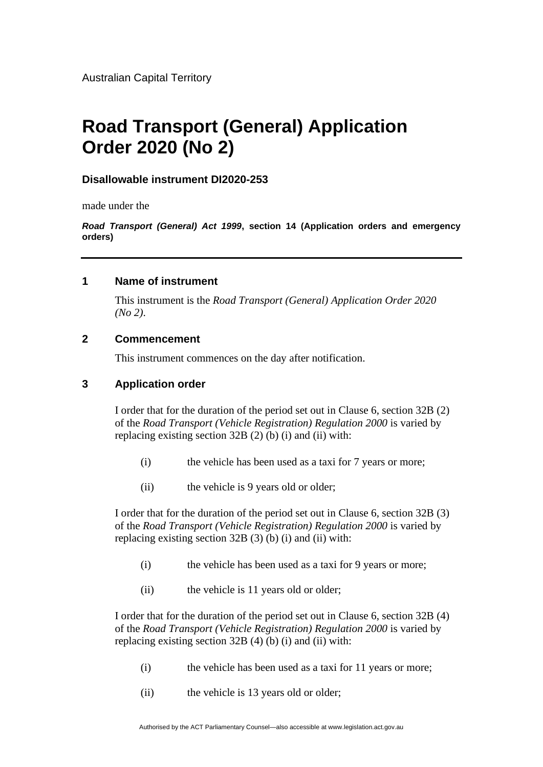# **Road Transport (General) Application Order 2020 (No 2)**

#### **Disallowable instrument DI2020-253**

made under the

*Road Transport (General) Act 1999***, section 14 (Application orders and emergency orders)**

#### **1 Name of instrument**

This instrument is the *Road Transport (General) Application Order 2020 (No 2)*.

#### **2 Commencement**

This instrument commences on the day after notification.

## **3 Application order**

I order that for the duration of the period set out in Clause 6, section 32B (2) of the *Road Transport (Vehicle Registration) Regulation 2000* is varied by replacing existing section 32B (2) (b) (i) and (ii) with:

- (i) the vehicle has been used as a taxi for 7 years or more;
- (ii) the vehicle is 9 years old or older;

I order that for the duration of the period set out in Clause 6, section 32B (3) of the *Road Transport (Vehicle Registration) Regulation 2000* is varied by replacing existing section 32B (3) (b) (i) and (ii) with:

- (i) the vehicle has been used as a taxi for 9 years or more;
- (ii) the vehicle is 11 years old or older;

I order that for the duration of the period set out in Clause 6, section 32B (4) of the *Road Transport (Vehicle Registration) Regulation 2000* is varied by replacing existing section 32B (4) (b) (i) and (ii) with:

- (i) the vehicle has been used as a taxi for 11 years or more;
- (ii) the vehicle is 13 years old or older;